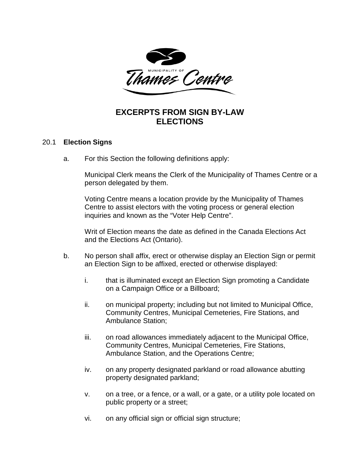

## **EXCERPTS FROM SIGN BY-LAW ELECTIONS**

## 20.1 **Election Signs**

a. For this Section the following definitions apply:

Municipal Clerk means the Clerk of the Municipality of Thames Centre or a person delegated by them.

Voting Centre means a location provide by the Municipality of Thames Centre to assist electors with the voting process or general election inquiries and known as the "Voter Help Centre".

Writ of Election means the date as defined in the Canada Elections Act and the Elections Act (Ontario).

- b. No person shall affix, erect or otherwise display an Election Sign or permit an Election Sign to be affixed, erected or otherwise displayed:
	- i. that is illuminated except an Election Sign promoting a Candidate on a Campaign Office or a Billboard;
	- ii. on municipal property; including but not limited to Municipal Office, Community Centres, Municipal Cemeteries, Fire Stations, and Ambulance Station;
	- iii. on road allowances immediately adjacent to the Municipal Office, Community Centres, Municipal Cemeteries, Fire Stations, Ambulance Station, and the Operations Centre;
	- iv. on any property designated parkland or road allowance abutting property designated parkland;
	- v. on a tree, or a fence, or a wall, or a gate, or a utility pole located on public property or a street;
	- vi. on any official sign or official sign structure;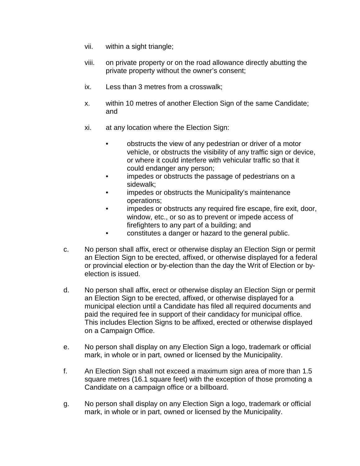- vii. within a sight triangle;
- viii. on private property or on the road allowance directly abutting the private property without the owner's consent;
- ix. Less than 3 metres from a crosswalk;
- x. within 10 metres of another Election Sign of the same Candidate; and
- xi. at any location where the Election Sign:
	- obstructs the view of any pedestrian or driver of a motor vehicle, or obstructs the visibility of any traffic sign or device, or where it could interfere with vehicular traffic so that it could endanger any person;
	- impedes or obstructs the passage of pedestrians on a sidewalk;
	- impedes or obstructs the Municipality's maintenance operations;
	- impedes or obstructs any required fire escape, fire exit, door, window, etc., or so as to prevent or impede access of firefighters to any part of a building; and
	- constitutes a danger or hazard to the general public.
- c. No person shall affix, erect or otherwise display an Election Sign or permit an Election Sign to be erected, affixed, or otherwise displayed for a federal or provincial election or by-election than the day the Writ of Election or byelection is issued.
- d. No person shall affix, erect or otherwise display an Election Sign or permit an Election Sign to be erected, affixed, or otherwise displayed for a municipal election until a Candidate has filed all required documents and paid the required fee in support of their candidacy for municipal office. This includes Election Signs to be affixed, erected or otherwise displayed on a Campaign Office.
- e. No person shall display on any Election Sign a logo, trademark or official mark, in whole or in part, owned or licensed by the Municipality.
- f. An Election Sign shall not exceed a maximum sign area of more than 1.5 square metres (16.1 square feet) with the exception of those promoting a Candidate on a campaign office or a billboard.
- g. No person shall display on any Election Sign a logo, trademark or official mark, in whole or in part, owned or licensed by the Municipality.